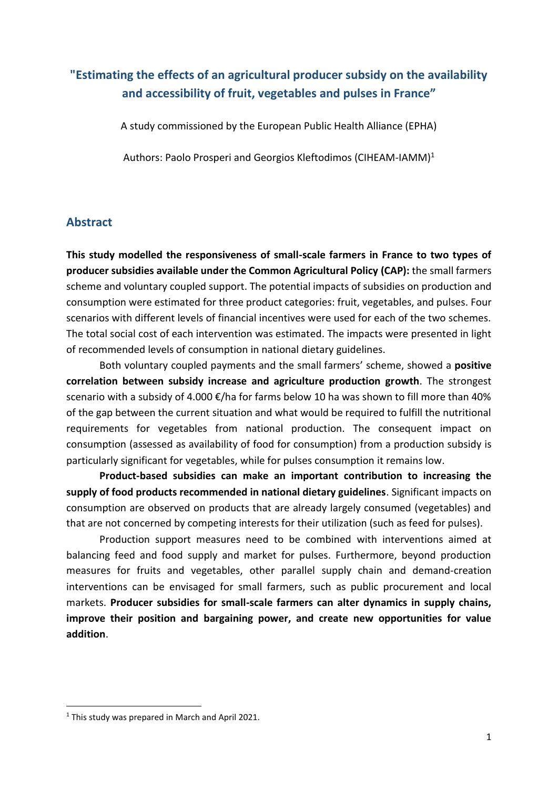# **"Estimating the effects of an agricultural producer subsidy on the availability and accessibility of fruit, vegetables and pulses in France"**

A study commissioned by the European Public Health Alliance (EPHA)

Authors: Paolo Prosperi and Georgios Kleftodimos (CIHEAM-IAMM)<sup>1</sup>

#### **Abstract**

**This study modelled the responsiveness of small-scale farmers in France to two types of producer subsidies available under the Common Agricultural Policy (CAP):** the small farmers scheme and voluntary coupled support. The potential impacts of subsidies on production and consumption were estimated for three product categories: fruit, vegetables, and pulses. Four scenarios with different levels of financial incentives were used for each of the two schemes. The total social cost of each intervention was estimated. The impacts were presented in light of recommended levels of consumption in national dietary guidelines.

Both voluntary coupled payments and the small farmers' scheme, showed a **positive correlation between subsidy increase and agriculture production growth**. The strongest scenario with a subsidy of 4.000 €/ha for farms below 10 ha was shown to fill more than 40% of the gap between the current situation and what would be required to fulfill the nutritional requirements for vegetables from national production. The consequent impact on consumption (assessed as availability of food for consumption) from a production subsidy is particularly significant for vegetables, while for pulses consumption it remains low.

**Product-based subsidies can make an important contribution to increasing the supply of food products recommended in national dietary guidelines**. Significant impacts on consumption are observed on products that are already largely consumed (vegetables) and that are not concerned by competing interests for their utilization (such as feed for pulses).

Production support measures need to be combined with interventions aimed at balancing feed and food supply and market for pulses. Furthermore, beyond production measures for fruits and vegetables, other parallel supply chain and demand-creation interventions can be envisaged for small farmers, such as public procurement and local markets. **Producer subsidies for small-scale farmers can alter dynamics in supply chains, improve their position and bargaining power, and create new opportunities for value addition**.

<sup>&</sup>lt;sup>1</sup> This study was prepared in March and April 2021.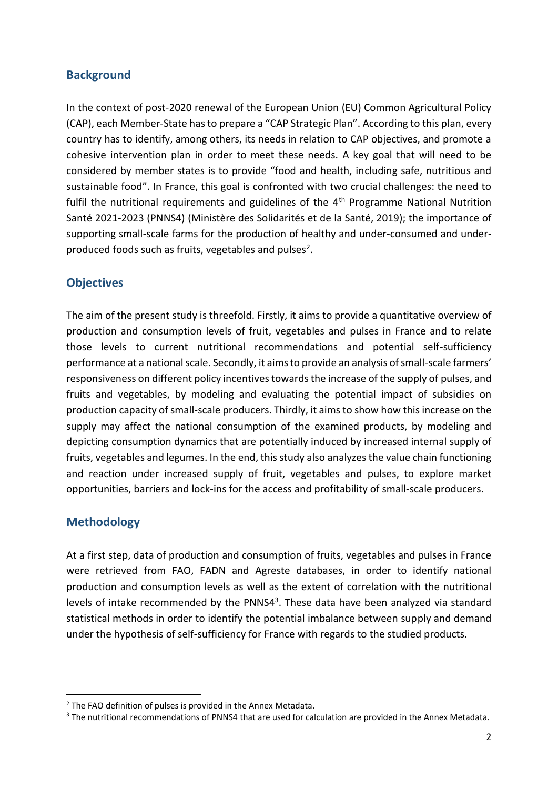### **Background**

In the context of post-2020 renewal of the European Union (EU) Common Agricultural Policy (CAP), each Member-State has to prepare a "CAP Strategic Plan". According to this plan, every country has to identify, among others, its needs in relation to CAP objectives, and promote a cohesive intervention plan in order to meet these needs. A key goal that will need to be considered by member states is to provide "food and health, including safe, nutritious and sustainable food". In France, this goal is confronted with two crucial challenges: the need to fulfil the nutritional requirements and guidelines of the 4<sup>th</sup> Programme National Nutrition Santé 2021-2023 (PNNS4) (Ministère des Solidarités et de la Santé, 2019); the importance of supporting small-scale farms for the production of healthy and under-consumed and underproduced foods such as fruits, vegetables and pulses<sup>2</sup>.

### **Objectives**

The aim of the present study is threefold. Firstly, it aims to provide a quantitative overview of production and consumption levels of fruit, vegetables and pulses in France and to relate those levels to current nutritional recommendations and potential self-sufficiency performance at a national scale. Secondly, it aims to provide an analysis of small-scale farmers' responsiveness on different policy incentives towards the increase of the supply of pulses, and fruits and vegetables, by modeling and evaluating the potential impact of subsidies on production capacity of small-scale producers. Thirdly, it aims to show how this increase on the supply may affect the national consumption of the examined products, by modeling and depicting consumption dynamics that are potentially induced by increased internal supply of fruits, vegetables and legumes. In the end, this study also analyzes the value chain functioning and reaction under increased supply of fruit, vegetables and pulses, to explore market opportunities, barriers and lock-ins for the access and profitability of small-scale producers.

## **Methodology**

At a first step, data of production and consumption of fruits, vegetables and pulses in France were retrieved from FAO, FADN and Agreste databases, in order to identify national production and consumption levels as well as the extent of correlation with the nutritional levels of intake recommended by the PNNS4<sup>3</sup>. These data have been analyzed via standard statistical methods in order to identify the potential imbalance between supply and demand under the hypothesis of self-sufficiency for France with regards to the studied products.

 $2$  The FAO definition of pulses is provided in the Annex Metadata.

<sup>&</sup>lt;sup>3</sup> The nutritional recommendations of PNNS4 that are used for calculation are provided in the Annex Metadata.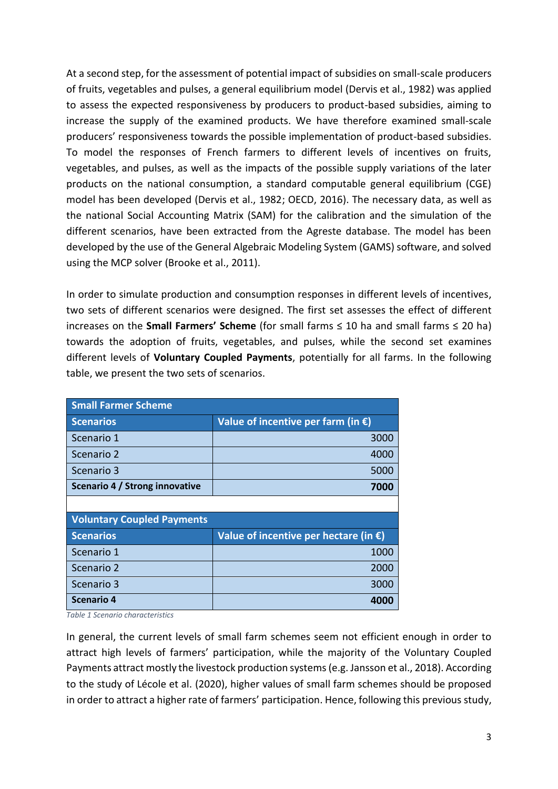At a second step, for the assessment of potential impact of subsidies on small-scale producers of fruits, vegetables and pulses, a general equilibrium model (Dervis et al., 1982) was applied to assess the expected responsiveness by producers to product-based subsidies, aiming to increase the supply of the examined products. We have therefore examined small-scale producers' responsiveness towards the possible implementation of product-based subsidies. To model the responses of French farmers to different levels of incentives on fruits, vegetables, and pulses, as well as the impacts of the possible supply variations of the later products on the national consumption, a standard computable general equilibrium (CGE) model has been developed (Dervis et al., 1982; OECD, 2016). The necessary data, as well as the national Social Accounting Matrix (SAM) for the calibration and the simulation of the different scenarios, have been extracted from the Agreste database. The model has been developed by the use of the General Algebraic Modeling System (GAMS) software, and solved using the MCP solver (Brooke et al., 2011).

In order to simulate production and consumption responses in different levels of incentives, two sets of different scenarios were designed. The first set assesses the effect of different increases on the **Small Farmers' Scheme** (for small farms ≤ 10 ha and small farms ≤ 20 ha) towards the adoption of fruits, vegetables, and pulses, while the second set examines different levels of **Voluntary Coupled Payments**, potentially for all farms. In the following table, we present the two sets of scenarios.

| <b>Small Farmer Scheme</b>        |                                                 |  |  |  |
|-----------------------------------|-------------------------------------------------|--|--|--|
| <b>Scenarios</b>                  | Value of incentive per farm (in $\epsilon$ )    |  |  |  |
| Scenario 1                        | 3000                                            |  |  |  |
| Scenario 2                        | 4000                                            |  |  |  |
| Scenario 3                        | 5000                                            |  |  |  |
| Scenario 4 / Strong innovative    | 7000                                            |  |  |  |
|                                   |                                                 |  |  |  |
| <b>Voluntary Coupled Payments</b> |                                                 |  |  |  |
| <b>Scenarios</b>                  | Value of incentive per hectare (in $\epsilon$ ) |  |  |  |
| Scenario 1                        | 1000                                            |  |  |  |
| Scenario 2                        | 2000                                            |  |  |  |
| Scenario 3                        | 3000                                            |  |  |  |
| <b>Scenario 4</b>                 | 400                                             |  |  |  |

*Table 1 Scenario characteristics*

In general, the current levels of small farm schemes seem not efficient enough in order to attract high levels of farmers' participation, while the majority of the Voluntary Coupled Payments attract mostly the livestock production systems (e.g. Jansson et al., 2018). According to the study of Lécole et al. (2020), higher values of small farm schemes should be proposed in order to attract a higher rate of farmers' participation. Hence, following this previous study,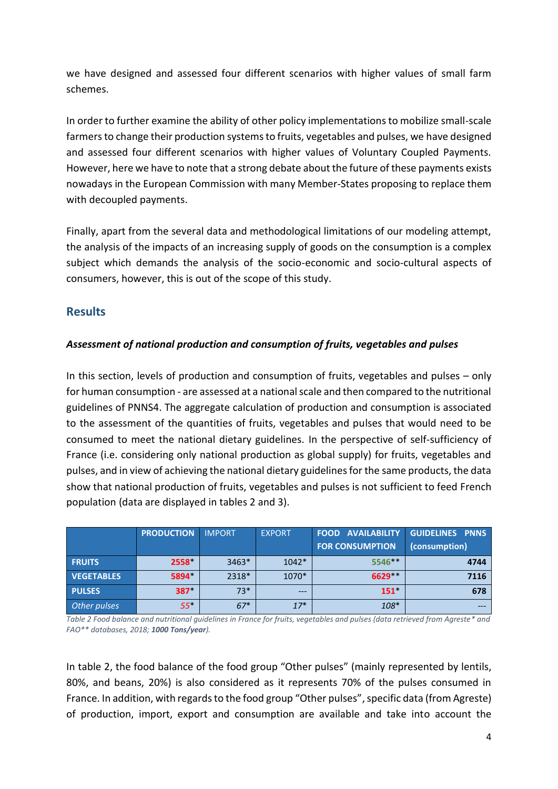we have designed and assessed four different scenarios with higher values of small farm schemes.

In order to further examine the ability of other policy implementations to mobilize small-scale farmersto change their production systems to fruits, vegetables and pulses, we have designed and assessed four different scenarios with higher values of Voluntary Coupled Payments. However, here we have to note that a strong debate about the future of these payments exists nowadays in the European Commission with many Member-States proposing to replace them with decoupled payments.

Finally, apart from the several data and methodological limitations of our modeling attempt, the analysis of the impacts of an increasing supply of goods on the consumption is a complex subject which demands the analysis of the socio-economic and socio-cultural aspects of consumers, however, this is out of the scope of this study.

## **Results**

#### *Assessment of national production and consumption of fruits, vegetables and pulses*

In this section, levels of production and consumption of fruits, vegetables and pulses – only for human consumption - are assessed at a national scale and then compared to the nutritional guidelines of PNNS4. The aggregate calculation of production and consumption is associated to the assessment of the quantities of fruits, vegetables and pulses that would need to be consumed to meet the national dietary guidelines. In the perspective of self-sufficiency of France (i.e. considering only national production as global supply) for fruits, vegetables and pulses, and in view of achieving the national dietary guidelines for the same products, the data show that national production of fruits, vegetables and pulses is not sufficient to feed French population (data are displayed in tables 2 and 3).

|                   | <b>PRODUCTION</b> | <b>IMPORT</b> | <b>EXPORT</b> | <b>FOOD AVAILABILITY</b><br><b>FOR CONSUMPTION</b> | <b>GUIDELINES PNNS</b><br>(consumption) |
|-------------------|-------------------|---------------|---------------|----------------------------------------------------|-----------------------------------------|
| <b>FRUITS</b>     | 2558              | $3463*$       | $1042*$       | 5546**                                             | 4744                                    |
| <b>VEGETABLES</b> | 5894              | 2318*         | 1070*         | 6629 **                                            | 7116                                    |
| <b>PULSES</b>     | 387*              | $73*$         | $---$         | $151*$                                             | 678                                     |
| Other pulses      | $55*$             | $67*$         | $17*$         | $108*$                                             |                                         |

*Table 2 Food balance and nutritional guidelines in France for fruits, vegetables and pulses (data retrieved from Agreste\* and FAO\*\* databases, 2018; 1000 Tons/year).*

In table 2, the food balance of the food group "Other pulses" (mainly represented by lentils, 80%, and beans, 20%) is also considered as it represents 70% of the pulses consumed in France. In addition, with regards to the food group "Other pulses", specific data (from Agreste) of production, import, export and consumption are available and take into account the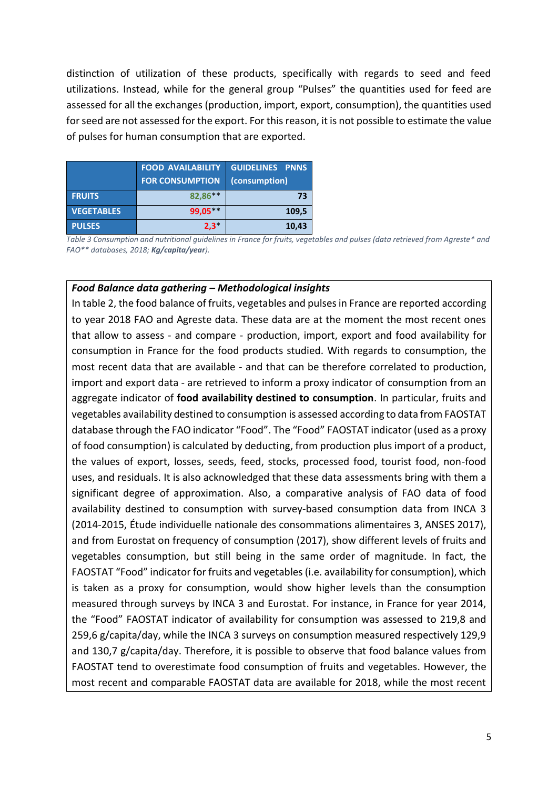distinction of utilization of these products, specifically with regards to seed and feed utilizations. Instead, while for the general group "Pulses" the quantities used for feed are assessed for all the exchanges (production, import, export, consumption), the quantities used for seed are not assessed for the export. For this reason, it is not possible to estimate the value of pulses for human consumption that are exported.

|                   | <b>FOOD AVAILABILITY</b><br><b>FOR CONSUMPTION</b> | <b>GUIDELINES PNNS</b><br>(consumption) |
|-------------------|----------------------------------------------------|-----------------------------------------|
| <b>FRUITS</b>     | 82,86**                                            | 73                                      |
| <b>VEGETABLES</b> | $99,05***$                                         | 109,5                                   |
| <b>PULSES</b>     | $2,3*$                                             | 10,43                                   |

*Table 3 Consumption and nutritional guidelines in France for fruits, vegetables and pulses (data retrieved from Agreste\* and FAO\*\* databases, 2018; Kg/capita/year).*

#### *Food Balance data gathering – Methodological insights*

In table 2, the food balance of fruits, vegetables and pulses in France are reported according to year 2018 FAO and Agreste data. These data are at the moment the most recent ones that allow to assess - and compare - production, import, export and food availability for consumption in France for the food products studied. With regards to consumption, the most recent data that are available - and that can be therefore correlated to production, import and export data - are retrieved to inform a proxy indicator of consumption from an aggregate indicator of **food availability destined to consumption**. In particular, fruits and vegetables availability destined to consumption is assessed according to data from FAOSTAT database through the FAO indicator "Food". The "Food" FAOSTAT indicator (used as a proxy of food consumption) is calculated by deducting, from production plus import of a product, the values of export, losses, seeds, feed, stocks, processed food, tourist food, non-food uses, and residuals. It is also acknowledged that these data assessments bring with them a significant degree of approximation. Also, a comparative analysis of FAO data of food availability destined to consumption with survey-based consumption data from INCA 3 (2014-2015, Étude individuelle nationale des consommations alimentaires 3, ANSES 2017), and from Eurostat on frequency of consumption (2017), show different levels of fruits and vegetables consumption, but still being in the same order of magnitude. In fact, the FAOSTAT "Food" indicator for fruits and vegetables (i.e. availability for consumption), which is taken as a proxy for consumption, would show higher levels than the consumption measured through surveys by INCA 3 and Eurostat. For instance, in France for year 2014, the "Food" FAOSTAT indicator of availability for consumption was assessed to 219,8 and 259,6 g/capita/day, while the INCA 3 surveys on consumption measured respectively 129,9 and 130,7 g/capita/day. Therefore, it is possible to observe that food balance values from FAOSTAT tend to overestimate food consumption of fruits and vegetables. However, the most recent and comparable FAOSTAT data are available for 2018, while the most recent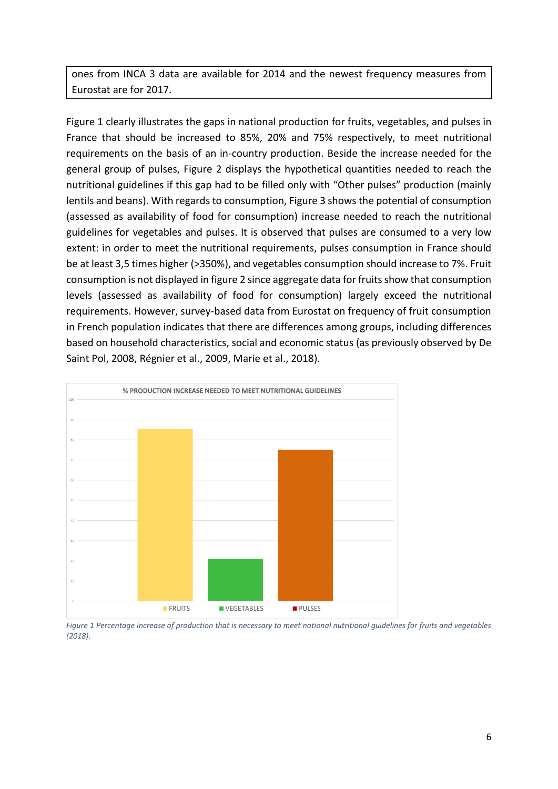ones from INCA 3 data are available for 2014 and the newest frequency measures from Eurostat are for 2017.

Figure 1 clearly illustrates the gaps in national production for fruits, vegetables, and pulses in France that should be increased to 85%, 20% and 75% respectively, to meet nutritional requirements on the basis of an in-country production. Beside the increase needed for the general group of pulses, Figure 2 displays the hypothetical quantities needed to reach the nutritional guidelines if this gap had to be filled only with "Other pulses" production (mainly lentils and beans). With regards to consumption, Figure 3 shows the potential of consumption (assessed as availability of food for consumption) increase needed to reach the nutritional guidelines for vegetables and pulses. It is observed that pulses are consumed to a very low extent: in order to meet the nutritional requirements, pulses consumption in France should be at least 3,5 times higher (>350%), and vegetables consumption should increase to 7%. Fruit consumption is not displayed in figure 2 since aggregate data for fruits show that consumption levels (assessed as availability of food for consumption) largely exceed the nutritional requirements. However, survey-based data from Eurostat on frequency of fruit consumption in French population indicates that there are differences among groups, including differences based on household characteristics, social and economic status (as previously observed by De Saint Pol, 2008, Régnier et al., 2009, Marie et al., 2018).



*Figure 1 Percentage increase of production that is necessary to meet national nutritional guidelines for fruits and vegetables (2018).*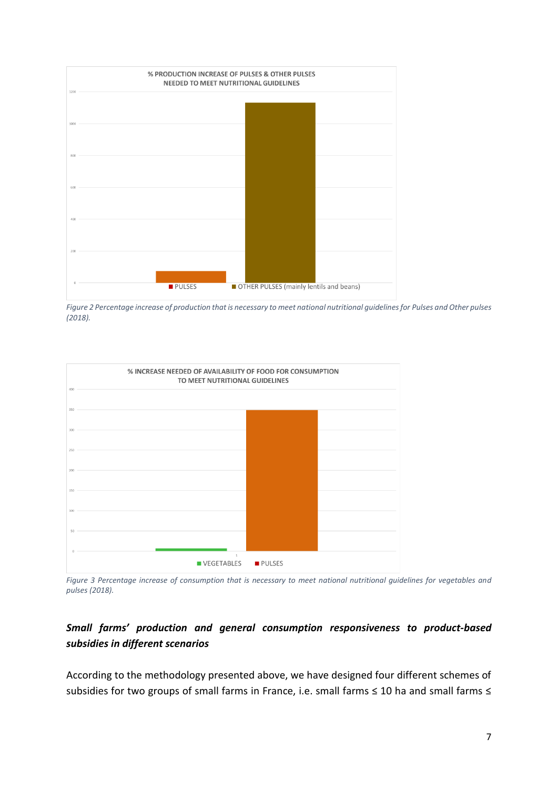

*Figure 2 Percentage increase of production that is necessary to meet national nutritional guidelines for Pulses and Other pulses (2018).*



*Figure 3 Percentage increase of consumption that is necessary to meet national nutritional guidelines for vegetables and pulses (2018).*

### *Small farms' production and general consumption responsiveness to product-based subsidies in different scenarios*

According to the methodology presented above, we have designed four different schemes of subsidies for two groups of small farms in France, i.e. small farms ≤ 10 ha and small farms ≤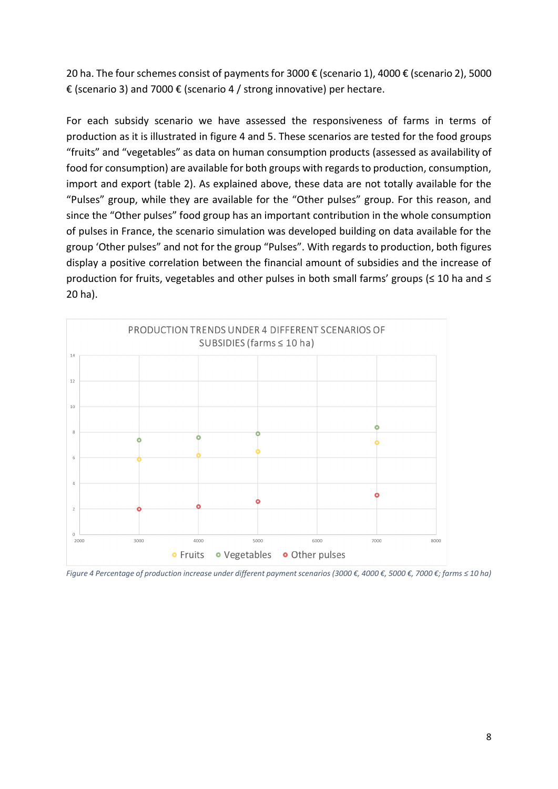20 ha. The four schemes consist of payments for 3000 € (scenario 1), 4000 € (scenario 2), 5000 € (scenario 3) and 7000 € (scenario 4 / strong innovative) per hectare.

For each subsidy scenario we have assessed the responsiveness of farms in terms of production as it is illustrated in figure 4 and 5. These scenarios are tested for the food groups "fruits" and "vegetables" as data on human consumption products (assessed as availability of food for consumption) are available for both groups with regards to production, consumption, import and export (table 2). As explained above, these data are not totally available for the "Pulses" group, while they are available for the "Other pulses" group. For this reason, and since the "Other pulses" food group has an important contribution in the whole consumption of pulses in France, the scenario simulation was developed building on data available for the group 'Other pulses" and not for the group "Pulses". With regards to production, both figures display a positive correlation between the financial amount of subsidies and the increase of production for fruits, vegetables and other pulses in both small farms' groups (≤ 10 ha and ≤ 20 ha).



*Figure 4 Percentage of production increase under different payment scenarios (3000 €, 4000 €, 5000 €, 7000 €; farms ≤ 10 ha)*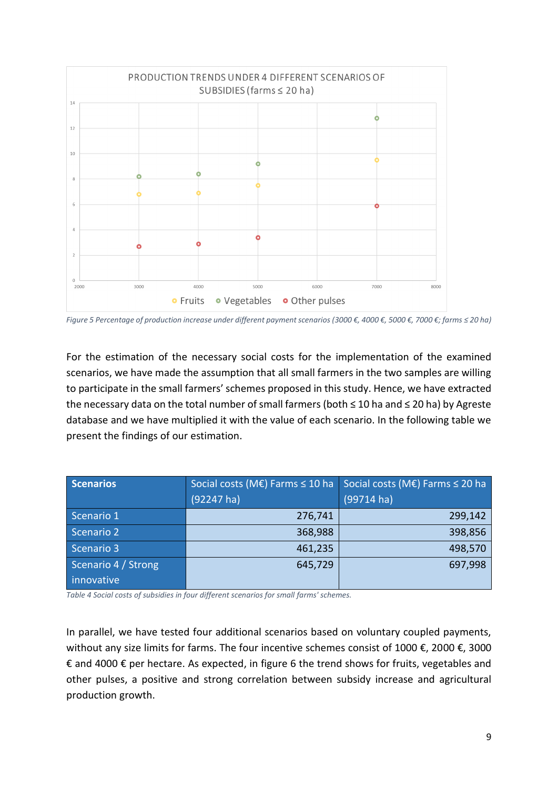

*Figure 5 Percentage of production increase under different payment scenarios (3000 €, 4000 €, 5000 €, 7000 €; farms ≤ 20 ha)*

For the estimation of the necessary social costs for the implementation of the examined scenarios, we have made the assumption that all small farmers in the two samples are willing to participate in the small farmers' schemes proposed in this study. Hence, we have extracted the necessary data on the total number of small farmers (both ≤ 10 ha and ≤ 20 ha) by Agreste database and we have multiplied it with the value of each scenario. In the following table we present the findings of our estimation.

| <b>Scenarios</b>    | Social costs (ME) Farms $\leq 10$ ha | Social costs (ME) Farms $\leq$ 20 ha |  |
|---------------------|--------------------------------------|--------------------------------------|--|
|                     | $(92247)$ ha)                        | $(99714 \text{ ha})$                 |  |
| Scenario 1          | 276,741                              | 299,142                              |  |
| Scenario 2          | 368,988                              | 398,856                              |  |
| Scenario 3          | 461,235                              | 498,570                              |  |
| Scenario 4 / Strong | 645,729                              | 697,998                              |  |
| innovative          |                                      |                                      |  |

*Table 4 Social costs of subsidies in four different scenarios for small farms' schemes.*

In parallel, we have tested four additional scenarios based on voluntary coupled payments, without any size limits for farms. The four incentive schemes consist of 1000 €, 2000 €, 3000 € and 4000 € per hectare. As expected, in figure 6 the trend shows for fruits, vegetables and other pulses, a positive and strong correlation between subsidy increase and agricultural production growth.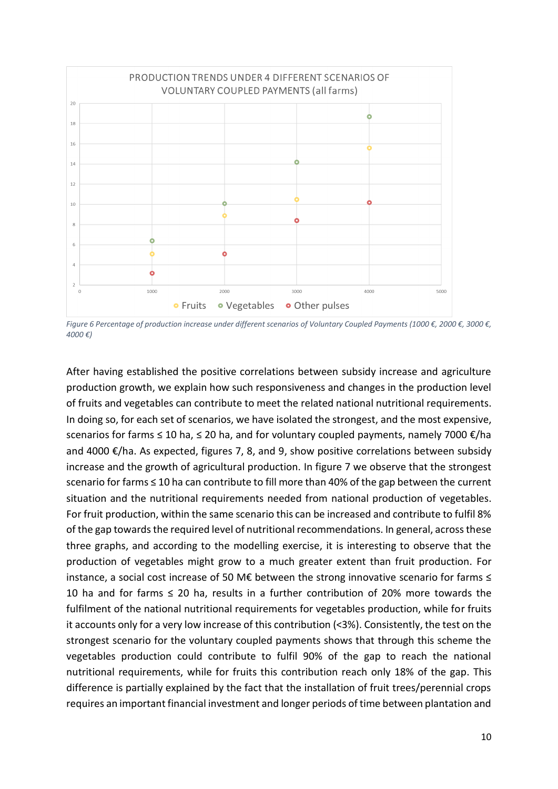

*Figure 6 Percentage of production increase under different scenarios of Voluntary Coupled Payments (1000 €, 2000 €, 3000 €, 4000 €)*

After having established the positive correlations between subsidy increase and agriculture production growth, we explain how such responsiveness and changes in the production level of fruits and vegetables can contribute to meet the related national nutritional requirements. In doing so, for each set of scenarios, we have isolated the strongest, and the most expensive, scenarios for farms ≤ 10 ha, ≤ 20 ha, and for voluntary coupled payments, namely 7000 €/ha and 4000 €/ha. As expected, figures 7, 8, and 9, show positive correlations between subsidy increase and the growth of agricultural production. In figure 7 we observe that the strongest scenario for farms ≤ 10 ha can contribute to fill more than 40% of the gap between the current situation and the nutritional requirements needed from national production of vegetables. For fruit production, within the same scenario this can be increased and contribute to fulfil 8% of the gap towards the required level of nutritional recommendations. In general, across these three graphs, and according to the modelling exercise, it is interesting to observe that the production of vegetables might grow to a much greater extent than fruit production. For instance, a social cost increase of 50 M€ between the strong innovative scenario for farms ≤ 10 ha and for farms  $\leq$  20 ha, results in a further contribution of 20% more towards the fulfilment of the national nutritional requirements for vegetables production, while for fruits it accounts only for a very low increase of this contribution (<3%). Consistently, the test on the strongest scenario for the voluntary coupled payments shows that through this scheme the vegetables production could contribute to fulfil 90% of the gap to reach the national nutritional requirements, while for fruits this contribution reach only 18% of the gap. This difference is partially explained by the fact that the installation of fruit trees/perennial crops requires an important financial investment and longer periods of time between plantation and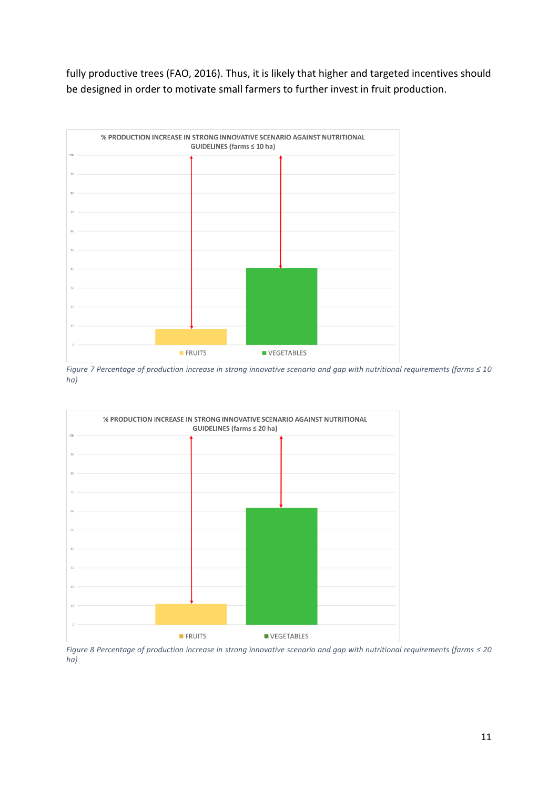fully productive trees (FAO, 2016). Thus, it is likely that higher and targeted incentives should be designed in order to motivate small farmers to further invest in fruit production.



*Figure 7 Percentage of production increase in strong innovative scenario and gap with nutritional requirements (farms ≤ 10 ha)*



*Figure 8 Percentage of production increase in strong innovative scenario and gap with nutritional requirements (farms ≤ 20 ha)*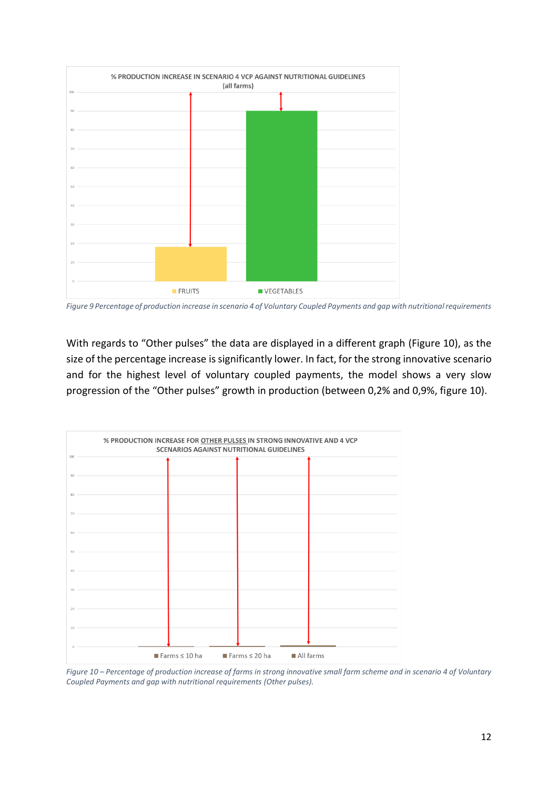

*Figure 9 Percentage of production increase in scenario 4 of Voluntary Coupled Payments and gap with nutritional requirements*

With regards to "Other pulses" the data are displayed in a different graph (Figure 10), as the size of the percentage increase is significantly lower. In fact, for the strong innovative scenario and for the highest level of voluntary coupled payments, the model shows a very slow progression of the "Other pulses" growth in production (between 0,2% and 0,9%, figure 10).



*Figure 10 – Percentage of production increase of farms in strong innovative small farm scheme and in scenario 4 of Voluntary Coupled Payments and gap with nutritional requirements (Other pulses).*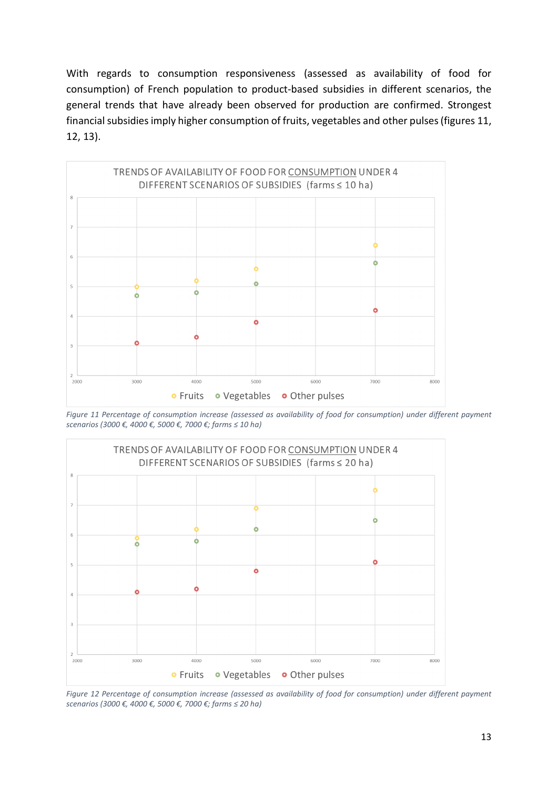With regards to consumption responsiveness (assessed as availability of food for consumption) of French population to product-based subsidies in different scenarios, the general trends that have already been observed for production are confirmed. Strongest financial subsidies imply higher consumption of fruits, vegetables and other pulses (figures 11, 12, 13).



*Figure 11 Percentage of consumption increase (assessed as availability of food for consumption) under different payment scenarios (3000 €, 4000 €, 5000 €, 7000 €; farms ≤ 10 ha)*



*Figure 12 Percentage of consumption increase (assessed as availability of food for consumption) under different payment scenarios (3000 €, 4000 €, 5000 €, 7000 €; farms ≤ 20 ha)*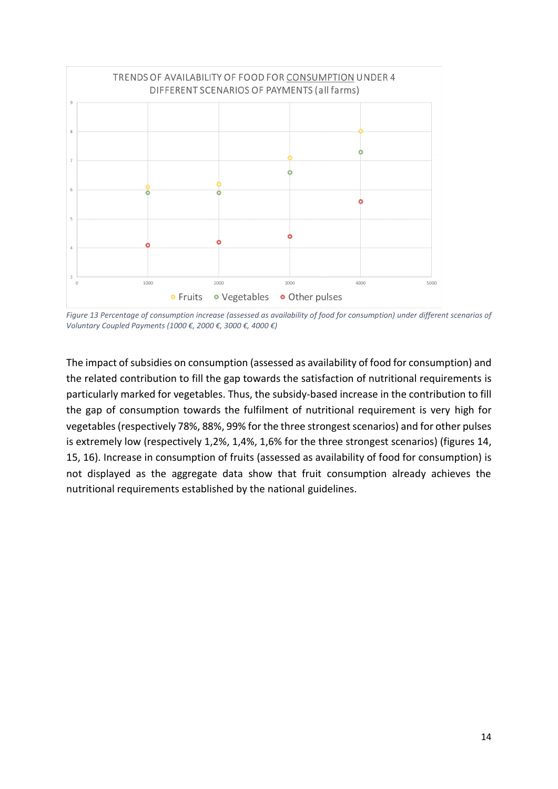

*Figure 13 Percentage of consumption increase (assessed as availability of food for consumption) under different scenarios of Voluntary Coupled Payments (1000 €, 2000 €, 3000 €, 4000 €)*

The impact of subsidies on consumption (assessed as availability of food for consumption) and the related contribution to fill the gap towards the satisfaction of nutritional requirements is particularly marked for vegetables. Thus, the subsidy-based increase in the contribution to fill the gap of consumption towards the fulfilment of nutritional requirement is very high for vegetables (respectively 78%, 88%, 99% for the three strongest scenarios) and for other pulses is extremely low (respectively 1,2%, 1,4%, 1,6% for the three strongest scenarios) (figures 14, 15, 16). Increase in consumption of fruits (assessed as availability of food for consumption) is not displayed as the aggregate data show that fruit consumption already achieves the nutritional requirements established by the national guidelines.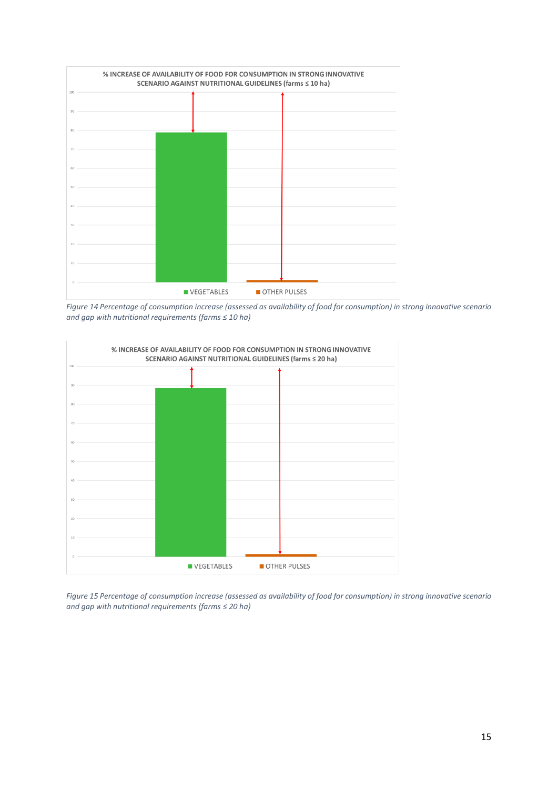

*Figure 14 Percentage of consumption increase (assessed as availability of food for consumption) in strong innovative scenario and gap with nutritional requirements (farms ≤ 10 ha)*



*Figure 15 Percentage of consumption increase (assessed as availability of food for consumption) in strong innovative scenario and gap with nutritional requirements (farms ≤ 20 ha)*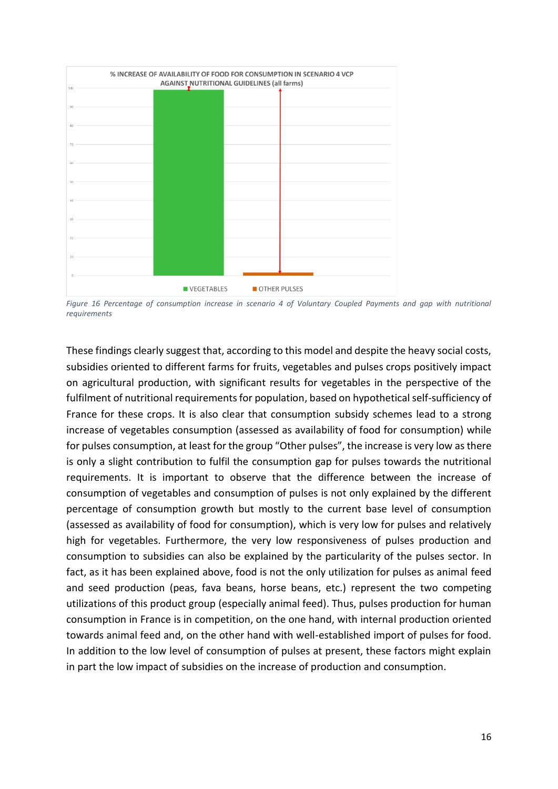

*Figure 16 Percentage of consumption increase in scenario 4 of Voluntary Coupled Payments and gap with nutritional requirements*

These findings clearly suggest that, according to this model and despite the heavy social costs, subsidies oriented to different farms for fruits, vegetables and pulses crops positively impact on agricultural production, with significant results for vegetables in the perspective of the fulfilment of nutritional requirements for population, based on hypothetical self-sufficiency of France for these crops. It is also clear that consumption subsidy schemes lead to a strong increase of vegetables consumption (assessed as availability of food for consumption) while for pulses consumption, at least for the group "Other pulses", the increase is very low as there is only a slight contribution to fulfil the consumption gap for pulses towards the nutritional requirements. It is important to observe that the difference between the increase of consumption of vegetables and consumption of pulses is not only explained by the different percentage of consumption growth but mostly to the current base level of consumption (assessed as availability of food for consumption), which is very low for pulses and relatively high for vegetables. Furthermore, the very low responsiveness of pulses production and consumption to subsidies can also be explained by the particularity of the pulses sector. In fact, as it has been explained above, food is not the only utilization for pulses as animal feed and seed production (peas, fava beans, horse beans, etc.) represent the two competing utilizations of this product group (especially animal feed). Thus, pulses production for human consumption in France is in competition, on the one hand, with internal production oriented towards animal feed and, on the other hand with well-established import of pulses for food. In addition to the low level of consumption of pulses at present, these factors might explain in part the low impact of subsidies on the increase of production and consumption.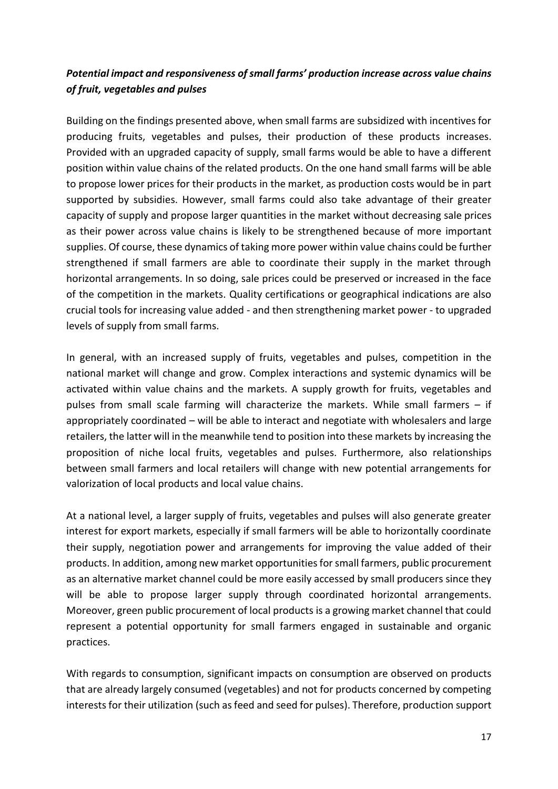### *Potential impact and responsiveness of small farms' production increase across value chains of fruit, vegetables and pulses*

Building on the findings presented above, when small farms are subsidized with incentives for producing fruits, vegetables and pulses, their production of these products increases. Provided with an upgraded capacity of supply, small farms would be able to have a different position within value chains of the related products. On the one hand small farms will be able to propose lower prices for their products in the market, as production costs would be in part supported by subsidies. However, small farms could also take advantage of their greater capacity of supply and propose larger quantities in the market without decreasing sale prices as their power across value chains is likely to be strengthened because of more important supplies. Of course, these dynamics of taking more power within value chains could be further strengthened if small farmers are able to coordinate their supply in the market through horizontal arrangements. In so doing, sale prices could be preserved or increased in the face of the competition in the markets. Quality certifications or geographical indications are also crucial tools for increasing value added - and then strengthening market power - to upgraded levels of supply from small farms.

In general, with an increased supply of fruits, vegetables and pulses, competition in the national market will change and grow. Complex interactions and systemic dynamics will be activated within value chains and the markets. A supply growth for fruits, vegetables and pulses from small scale farming will characterize the markets. While small farmers – if appropriately coordinated – will be able to interact and negotiate with wholesalers and large retailers, the latter will in the meanwhile tend to position into these markets by increasing the proposition of niche local fruits, vegetables and pulses. Furthermore, also relationships between small farmers and local retailers will change with new potential arrangements for valorization of local products and local value chains.

At a national level, a larger supply of fruits, vegetables and pulses will also generate greater interest for export markets, especially if small farmers will be able to horizontally coordinate their supply, negotiation power and arrangements for improving the value added of their products. In addition, among new market opportunities for small farmers, public procurement as an alternative market channel could be more easily accessed by small producers since they will be able to propose larger supply through coordinated horizontal arrangements. Moreover, green public procurement of local products is a growing market channel that could represent a potential opportunity for small farmers engaged in sustainable and organic practices.

With regards to consumption, significant impacts on consumption are observed on products that are already largely consumed (vegetables) and not for products concerned by competing interests for their utilization (such as feed and seed for pulses). Therefore, production support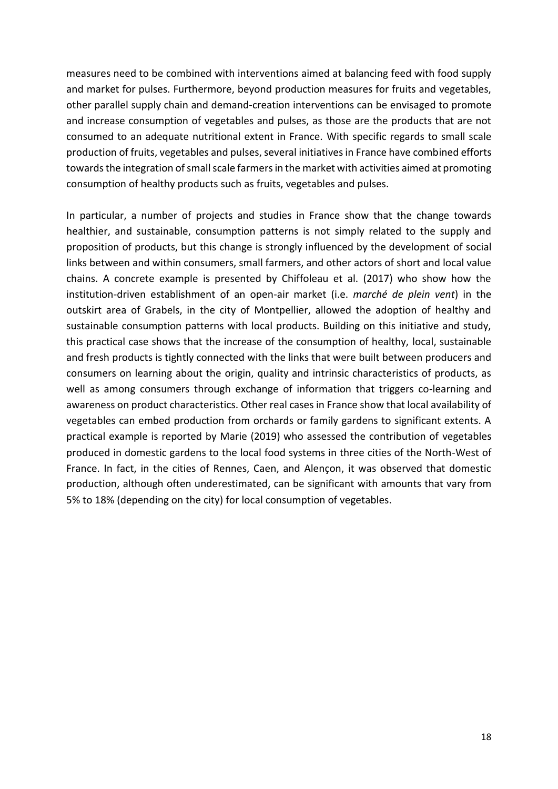measures need to be combined with interventions aimed at balancing feed with food supply and market for pulses. Furthermore, beyond production measures for fruits and vegetables, other parallel supply chain and demand-creation interventions can be envisaged to promote and increase consumption of vegetables and pulses, as those are the products that are not consumed to an adequate nutritional extent in France. With specific regards to small scale production of fruits, vegetables and pulses, several initiatives in France have combined efforts towards the integration of small scale farmers in the market with activities aimed at promoting consumption of healthy products such as fruits, vegetables and pulses.

In particular, a number of projects and studies in France show that the change towards healthier, and sustainable, consumption patterns is not simply related to the supply and proposition of products, but this change is strongly influenced by the development of social links between and within consumers, small farmers, and other actors of short and local value chains. A concrete example is presented by Chiffoleau et al. (2017) who show how the institution-driven establishment of an open-air market (i.e. *marché de plein vent*) in the outskirt area of Grabels, in the city of Montpellier, allowed the adoption of healthy and sustainable consumption patterns with local products. Building on this initiative and study, this practical case shows that the increase of the consumption of healthy, local, sustainable and fresh products is tightly connected with the links that were built between producers and consumers on learning about the origin, quality and intrinsic characteristics of products, as well as among consumers through exchange of information that triggers co-learning and awareness on product characteristics. Other real cases in France show that local availability of vegetables can embed production from orchards or family gardens to significant extents. A practical example is reported by Marie (2019) who assessed the contribution of vegetables produced in domestic gardens to the local food systems in three cities of the North-West of France. In fact, in the cities of Rennes, Caen, and Alençon, it was observed that domestic production, although often underestimated, can be significant with amounts that vary from 5% to 18% (depending on the city) for local consumption of vegetables.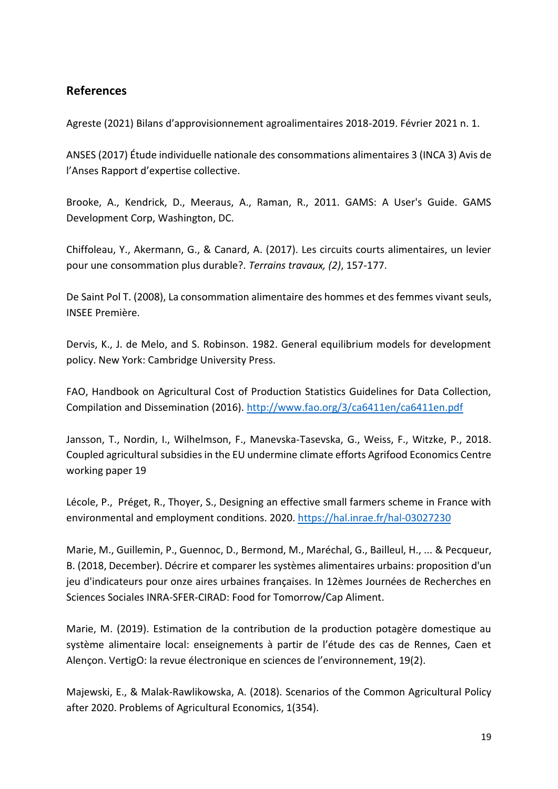### **References**

Agreste (2021) Bilans d'approvisionnement agroalimentaires 2018-2019. Février 2021 n. 1.

ANSES (2017) Étude individuelle nationale des consommations alimentaires 3 (INCA 3) Avis de l'Anses Rapport d'expertise collective.

Brooke, A., Kendrick, D., Meeraus, A., Raman, R., 2011. GAMS: A User's Guide. GAMS Development Corp, Washington, DC.

Chiffoleau, Y., Akermann, G., & Canard, A. (2017). Les circuits courts alimentaires, un levier pour une consommation plus durable?. *Terrains travaux, (2)*, 157-177.

De Saint Pol T. (2008), La consommation alimentaire des hommes et des femmes vivant seuls, INSEE Première.

Dervis, K., J. de Melo, and S. Robinson. 1982. General equilibrium models for development policy. New York: Cambridge University Press.

FAO, Handbook on Agricultural Cost of Production Statistics Guidelines for Data Collection, Compilation and Dissemination (2016).<http://www.fao.org/3/ca6411en/ca6411en.pdf>

Jansson, T., Nordin, I., Wilhelmson, F., Manevska-Tasevska, G., Weiss, F., Witzke, P., 2018. Coupled agricultural subsidies in the EU undermine climate efforts Agrifood Economics Centre working paper 19

Lécole, P., Préget, R., Thoyer, S., Designing an effective small farmers scheme in France with environmental and employment conditions. 2020.<https://hal.inrae.fr/hal-03027230>

Marie, M., Guillemin, P., Guennoc, D., Bermond, M., Maréchal, G., Bailleul, H., ... & Pecqueur, B. (2018, December). Décrire et comparer les systèmes alimentaires urbains: proposition d'un jeu d'indicateurs pour onze aires urbaines françaises. In 12èmes Journées de Recherches en Sciences Sociales INRA-SFER-CIRAD: Food for Tomorrow/Cap Aliment.

Marie, M. (2019). Estimation de la contribution de la production potagère domestique au système alimentaire local: enseignements à partir de l'étude des cas de Rennes, Caen et Alençon. VertigO: la revue électronique en sciences de l'environnement, 19(2).

Majewski, E., & Malak-Rawlikowska, A. (2018). Scenarios of the Common Agricultural Policy after 2020. Problems of Agricultural Economics, 1(354).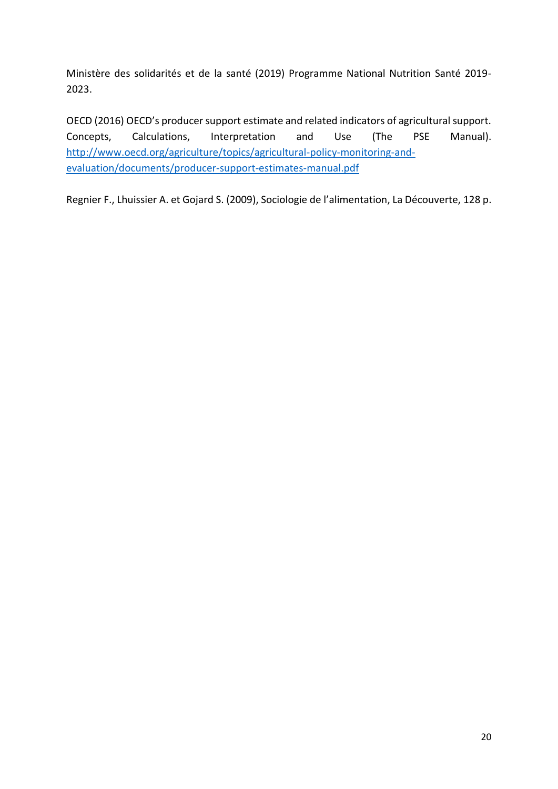Ministère des solidarités et de la santé (2019) Programme National Nutrition Santé 2019- 2023.

OECD (2016) OECD's producer support estimate and related indicators of agricultural support. Concepts, Calculations, Interpretation and Use (The PSE Manual). [http://www.oecd.org/agriculture/topics/agricultural-policy-monitoring-and](http://www.oecd.org/agriculture/topics/agricultural-policy-monitoring-and-evaluation/documents/producer-support-estimates-manual.pdf)[evaluation/documents/producer-support-estimates-manual.pdf](http://www.oecd.org/agriculture/topics/agricultural-policy-monitoring-and-evaluation/documents/producer-support-estimates-manual.pdf)

Regnier F., Lhuissier A. et Gojard S. (2009), Sociologie de l'alimentation, La Découverte, 128 p.